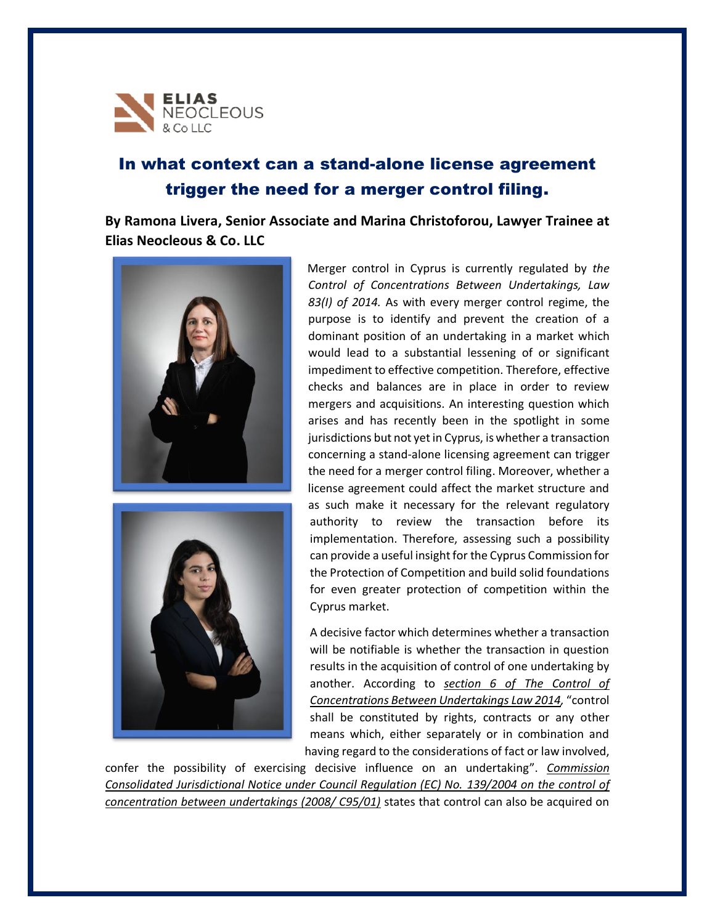

## In what context can a stand-alone license agreement trigger the need for a merger control filing.

**By Ramona Livera, Senior Associate and Marina Christoforou, Lawyer Trainee at Elias Neocleous & Co. LLC**





Merger control in Cyprus is currently regulated by *the Control of Concentrations Between Undertakings, Law 83(I) of 2014.* As with every merger control regime, the purpose is to identify and prevent the creation of a dominant position of an undertaking in a market which would lead to a substantial lessening of or significant impediment to effective competition. Therefore, effective checks and balances are in place in order to review mergers and acquisitions. An interesting question which arises and has recently been in the spotlight in some jurisdictions but not yet in Cyprus, is whether a transaction concerning a stand-alone licensing agreement can trigger the need for a merger control filing. Moreover, whether a license agreement could affect the market structure and as such make it necessary for the relevant regulatory authority to review the transaction before its implementation. Therefore, assessing such a possibility can provide a useful insight for the Cyprus Commission for the Protection of Competition and build solid foundations for even greater protection of competition within the Cyprus market.

A decisive factor which determines whether a transaction will be notifiable is whether the transaction in question results in the acquisition of control of one undertaking by another. According to *section 6 of The Control of Concentrations Between Undertakings Law 2014,* "control shall be constituted by rights, contracts or any other means which, either separately or in combination and having regard to the considerations of fact or law involved,

confer the possibility of exercising decisive influence on an undertaking". *Commission Consolidated Jurisdictional Notice under Council Regulation (EC) No. 139/2004 on the control of concentration between undertakings (2008/ C95/01)* states that control can also be acquired on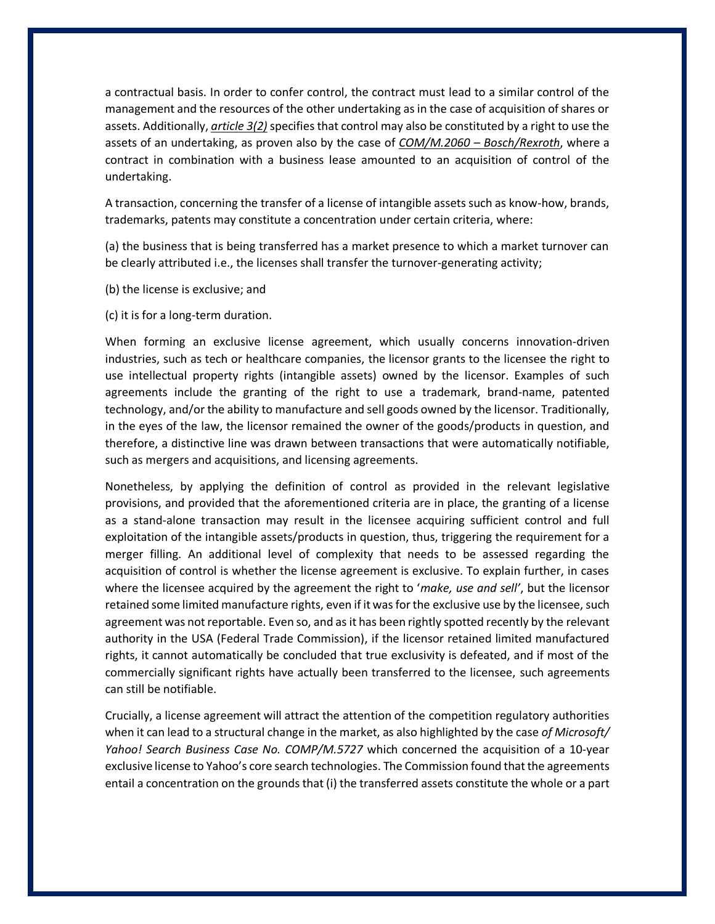a contractual basis. In order to confer control, the contract must lead to a similar control of the management and the resources of the other undertaking as in the case of acquisition of shares or assets. Additionally, *article 3(2)* specifies that control may also be constituted by a right to use the assets of an undertaking, as proven also by the case of *COM/M.2060 – Bosch/Rexroth*, where a contract in combination with a business lease amounted to an acquisition of control of the undertaking.

A transaction, concerning the transfer of a license of intangible assets such as know-how, brands, trademarks, patents may constitute a concentration under certain criteria, where:

(a) the business that is being transferred has a market presence to which a market turnover can be clearly attributed i.e., the licenses shall transfer the turnover-generating activity;

- (b) the license is exclusive; and
- (c) it is for a long-term duration.

When forming an exclusive license agreement, which usually concerns innovation-driven industries, such as tech or healthcare companies, the licensor grants to the licensee the right to use intellectual property rights (intangible assets) owned by the licensor. Examples of such agreements include the granting of the right to use a trademark, brand-name, patented technology, and/or the ability to manufacture and sell goods owned by the licensor. Traditionally, in the eyes of the law, the licensor remained the owner of the goods/products in question, and therefore, a distinctive line was drawn between transactions that were automatically notifiable, such as mergers and acquisitions, and licensing agreements.

Nonetheless, by applying the definition of control as provided in the relevant legislative provisions, and provided that the aforementioned criteria are in place, the granting of a license as a stand-alone transaction may result in the licensee acquiring sufficient control and full exploitation of the intangible assets/products in question, thus, triggering the requirement for a merger filling. An additional level of complexity that needs to be assessed regarding the acquisition of control is whether the license agreement is exclusive. To explain further, in cases where the licensee acquired by the agreement the right to '*make, use and sell'*, but the licensor retained some limited manufacture rights, even if it was for the exclusive use by the licensee, such agreement was not reportable. Even so, and as it has been rightly spotted recently by the relevant authority in the USA (Federal Trade Commission), if the licensor retained limited manufactured rights, it cannot automatically be concluded that true exclusivity is defeated, and if most of the commercially significant rights have actually been transferred to the licensee, such agreements can still be notifiable.

Crucially, a license agreement will attract the attention of the competition regulatory authorities when it can lead to a structural change in the market, as also highlighted by the case *of Microsoft/ Yahoo! Search Business Case No. COMP/M.5727* which concerned the acquisition of a 10-year exclusive license to Yahoo's core search technologies. The Commission found that the agreements entail a concentration on the grounds that (i) the transferred assets constitute the whole or a part